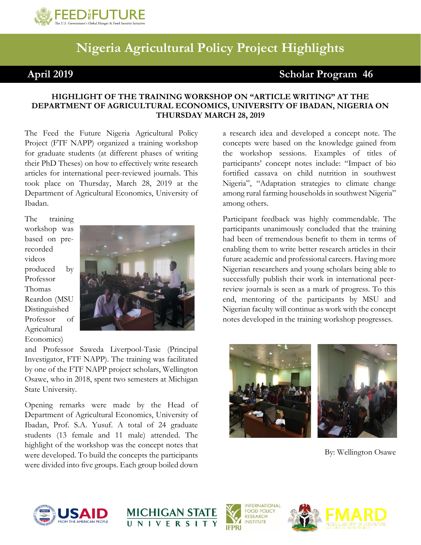

## **Nigeria Agricultural Policy Project Highlights**

## **April 2019 Scholar Program 46**

## **HIGHLIGHT OF THE TRAINING WORKSHOP ON "ARTICLE WRITING" AT THE DEPARTMENT OF AGRICULTURAL ECONOMICS, UNIVERSITY OF IBADAN, NIGERIA ON THURSDAY MARCH 28, 2019**

The Feed the Future Nigeria Agricultural Policy Project (FTF NAPP) organized a training workshop for graduate students (at different phases of writing their PhD Theses) on how to effectively write research articles for international peer-reviewed journals. This took place on Thursday, March 28, 2019 at the Department of Agricultural Economics, University of Ibadan.

The training workshop was based on prerecorded videos produced by Professor Thomas Reardon (MSU Distinguished Professor of Agricultural Economics)



and Professor Saweda Liverpool-Tasie (Principal Investigator, FTF NAPP). The training was facilitated by one of the FTF NAPP project scholars, Wellington Osawe, who in 2018, spent two semesters at Michigan State University.

Opening remarks were made by the Head of Department of Agricultural Economics, University of Ibadan, Prof. S.A. Yusuf. A total of 24 graduate students (13 female and 11 male) attended. The highlight of the workshop was the concept notes that were developed. To build the concepts the participants were divided into five groups. Each group boiled down

a research idea and developed a concept note. The concepts were based on the knowledge gained from the workshop sessions. Examples of titles of participants' concept notes include: "Impact of bio fortified cassava on child nutrition in southwest Nigeria", "Adaptation strategies to climate change among rural farming households in southwest Nigeria" among others.

Participant feedback was highly commendable. The participants unanimously concluded that the training had been of tremendous benefit to them in terms of enabling them to write better research articles in their future academic and professional careers. Having more Nigerian researchers and young scholars being able to successfully publish their work in international peerreview journals is seen as a mark of progress. To this end, mentoring of the participants by MSU and Nigerian faculty will continue as work with the concept notes developed in the training workshop progresses.





By: Wellington Osawe